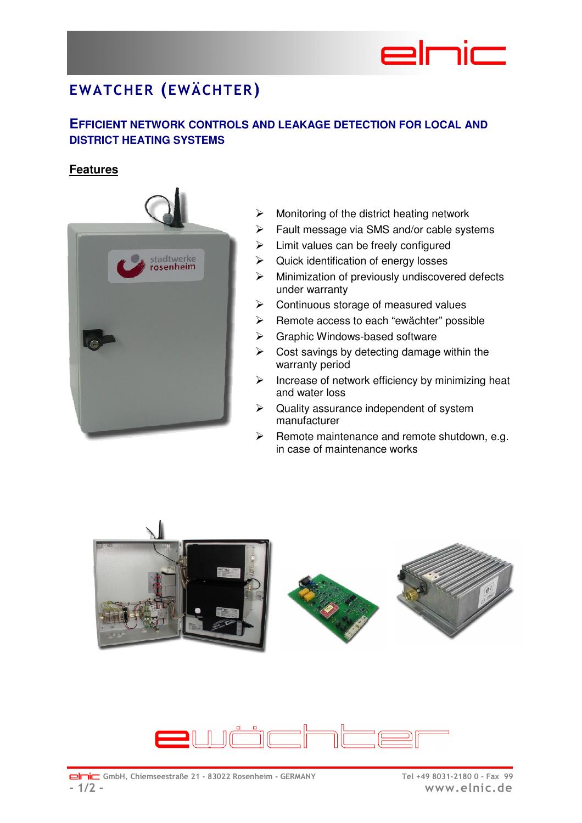# $=$  mim

## **EWATCHER (EWÄCHTER)**

### **EFFICIENT NETWORK CONTROLS AND LEAKAGE DETECTION FOR LOCAL AND DISTRICT HEATING SYSTEMS**

#### **Features**



- $\triangleright$  Monitoring of the district heating network
- $\triangleright$  Fault message via SMS and/or cable systems
- $\triangleright$  Limit values can be freely configured
- $\triangleright$  Quick identification of energy losses
- $\triangleright$  Minimization of previously undiscovered defects under warranty
- $\triangleright$  Continuous storage of measured values
- $\triangleright$  Remote access to each "ewächter" possible
- Graphic Windows-based software
- $\triangleright$  Cost savings by detecting damage within the warranty period
- $\triangleright$  Increase of network efficiency by minimizing heat and water loss
- $\triangleright$  Quality assurance independent of system manufacturer
- $\triangleright$  Remote maintenance and remote shutdown, e.g. in case of maintenance works